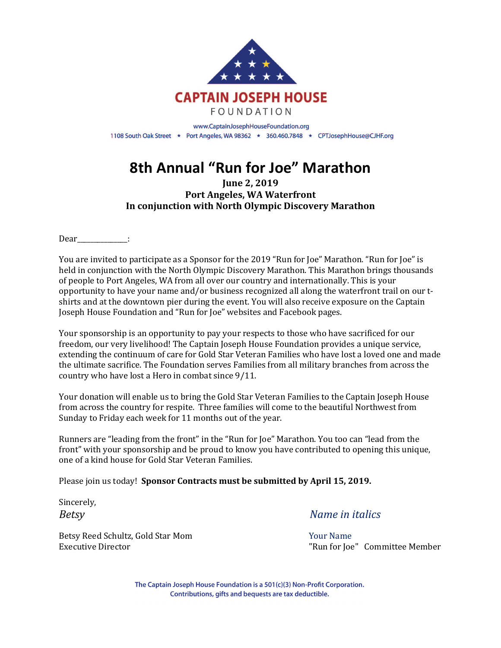

# **8th Annual "Run for Joe" Marathon**

**June 2, 2019 Port Angeles, WA Waterfront** In conjunction with North Olympic Discovery Marathon

Dear\_\_\_\_\_\_\_\_\_\_\_\_\_:

You are invited to participate as a Sponsor for the 2019 "Run for Joe" Marathon. "Run for Joe" is held in conjunction with the North Olympic Discovery Marathon. This Marathon brings thousands of people to Port Angeles, WA from all over our country and internationally. This is your opportunity to have your name and/or business recognized all along the waterfront trail on our tshirts and at the downtown pier during the event. You will also receive exposure on the Captain Joseph House Foundation and "Run for Joe" websites and Facebook pages.

Your sponsorship is an opportunity to pay your respects to those who have sacrificed for our freedom, our very livelihood! The Captain Joseph House Foundation provides a unique service, extending the continuum of care for Gold Star Veteran Families who have lost a loved one and made the ultimate sacrifice. The Foundation serves Families from all military branches from across the country who have lost a Hero in combat since  $9/11$ .

Your donation will enable us to bring the Gold Star Veteran Families to the Captain Joseph House from across the country for respite. Three families will come to the beautiful Northwest from Sunday to Friday each week for 11 months out of the year.

Runners are "leading from the front" in the "Run for Joe" Marathon. You too can "lead from the front" with your sponsorship and be proud to know you have contributed to opening this unique, one of a kind house for Gold Star Veteran Families.

Please join us today! Sponsor Contracts must be submitted by April 15, 2019.

Sincerely,

Betsy Reed Schultz, Gold Star Mom **Business Community Community** Your Name

*Betsy Name in italics* 

Executive Director **and Committee Member Committee Member Committee Member Committee Member** 

The Captain Joseph House Foundation is a 501(c)(3) Non-Profit Corporation. Contributions, gifts and bequests are tax deductible.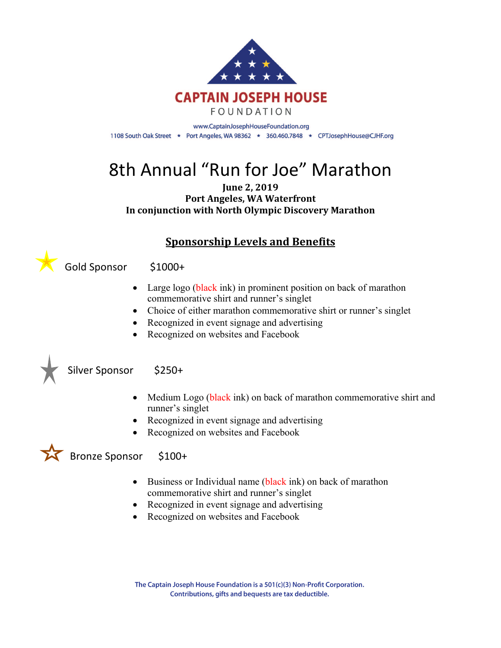

# 8th Annual "Run for Joe" Marathon

#### **June 2, 2019 Port Angeles, WA Waterfront** In conjunction with North Olympic Discovery Marathon

## **Sponsorship Levels and Benefits**

Gold Sponsor \$1000+

- Large logo (black ink) in prominent position on back of marathon commemorative shirt and runner's singlet
- Choice of either marathon commemorative shirt or runner's singlet
- Recognized in event signage and advertising
- Recognized on websites and Facebook



### Silver Sponsor \$250+

- Medium Logo (black ink) on back of marathon commemorative shirt and runner's singlet
- Recognized in event signage and advertising
- Recognized on websites and Facebook



- Business or Individual name (black ink) on back of marathon commemorative shirt and runner's singlet
- Recognized in event signage and advertising
- Recognized on websites and Facebook

The Captain Joseph House Foundation is a 501(c)(3) Non-Profit Corporation. Contributions, gifts and bequests are tax deductible.